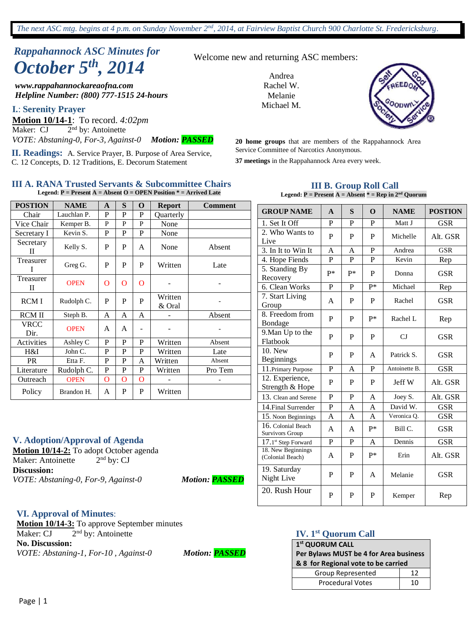# *Rappahannock ASC Minutes for October 5th , 2014*

*www.rappahannockareaofna.com Helpline Number: (800) 777-1515 24-hours*

**I.**: **Serenity Prayer**

**Motion 10/14-1**: To record. *4:02pm* Maker: CJ 2 2<sup>nd</sup> by: Antoinette *VOTE: Abstaning-0, For-3, Against-0 Motion: PASSED*

**II. Readings:** A. Service Prayer, B. Purpose of Area Service, C. 12 Concepts, D. 12 Traditions, E. Decorum Statement

#### **III A. RANA Trusted Servants & Subcommittee Chairs Legend: P = Present A = Absent O = OPEN Position \* = Arrived Late**

| <b>POSTION</b> | <b>NAME</b> | $\mathbf{A}$   | S | O        | <b>Report</b>     | <b>Comment</b> |
|----------------|-------------|----------------|---|----------|-------------------|----------------|
| Chair          | Lauchlan P. | P              | P | P        | <b>Ouarterly</b>  |                |
| Vice Chair     | Kemper B.   | P              | P | P        | None              |                |
| Secretary I    | Kevin S.    | P              | P | P        | None              |                |
| Secretary<br>П | Kelly S.    | P              | P | A        | None              | Absent         |
| Treasurer<br>T | Greg G.     | P              | P | P        | Written           | Late           |
| Treasurer<br>П | <b>OPEN</b> | O              | O | O        |                   |                |
| <b>RCMI</b>    | Rudolph C.  | P              | P | P        | Written<br>& Oral |                |
| <b>RCMII</b>   | Steph B.    | A              | A | A        |                   | Absent         |
| VRCC<br>Dir.   | <b>OPEN</b> | A              | A |          |                   |                |
| Activities     | Ashley C    | P              | P | P        | Written           | Absent         |
| H&I            | John C.     | P              | P | P        | Written           | Late           |
| <b>PR</b>      | Etta F.     | P              | P | A        | Written           | Absent         |
| Literature     | Rudolph C.  | P              | P | P        | Written           | Pro Tem        |
| Outreach       | <b>OPEN</b> | $\overline{O}$ | O | $\Omega$ |                   |                |
| Policy         | Brandon H.  | A              | P | P        | Written           |                |

#### **V. Adoption/Approval of Agenda**

**Motion 10/14-2:** To adopt October agenda Maker: Antoinette  $2<sup>nd</sup>$  by: CJ **Discussion:** *VOTE: Abstaning-0, For-9, Against-0 Motion: PASSED*

#### **VI. Approval of Minutes**:

**Motion 10/14-3:** To approve September minutes Maker: CJ 2 2<sup>nd</sup> by: Antoinette **No. Discussion:** *VOTE: Abstaning-1, For-10 , Against-0 Motion: PASSED*

Welcome new and returning ASC members:

Andrea Rachel W. Melanie Michael M.



**20 home groups** that are members of the Rappahannock Area Service Committee of Narcotics Anonymous.

**37 meetings** in the Rappahannock Area every week.

#### **III B. Group Roll Call Legend: P = Present A = Absent \* = Rep in 2nd Quorum**

| <b>GROUP NAME</b>                      | $\mathbf{A}$ | S            | $\Omega$ | <b>NAME</b>   | <b>POSTION</b> |
|----------------------------------------|--------------|--------------|----------|---------------|----------------|
| 1. Set It Off                          | P            | P            | P        | Matt J        | <b>GSR</b>     |
| 2. Who Wants to<br>Live                | P            | P            | P        | Michelle      | Alt. GSR       |
| 3. In It to Win It                     | A            | A            | P        | Andrea        | <b>GSR</b>     |
| 4. Hope Fiends                         | $\mathbf{P}$ | P            | P        | Kevin         | Rep            |
| 5. Standing By<br>Recovery             | p*           | $P*$         | P        | Donna         | <b>GSR</b>     |
| 6. Clean Works                         | P            | P            | P*       | Michael       | Rep            |
| 7. Start Living<br>Group               | A            | P            | P        | Rachel        | GSR            |
| 8. Freedom from<br>Bondage             | P            | P            | $P*$     | Rachel L      | Rep            |
| 9. Man Up to the<br>Flatbook           | P            | P            | P        | $C_{J}$       | GSR            |
| 10. New<br><b>Beginnings</b>           | P            | P            | A        | Patrick S.    | <b>GSR</b>     |
| 11. Primary Purpose                    | P            | A            | P        | Antoinette B. | <b>GSR</b>     |
| 12. Experience,<br>Strength & Hope     | P            | P            | P        | Jeff W        | Alt. GSR       |
| 13. Clean and Serene                   | P            | P            | A        | Joey S.       | Alt. GSR       |
| 14. Final Surrender                    | $\mathbf{P}$ | A            | A        | David W.      | <b>GSR</b>     |
| 15. Noon Beginnings                    | A            | A            | A        | Veronica Q.   | <b>GSR</b>     |
| 16. Colonial Beach<br>Survivors Group  | A            | A            | $P*$     | Bill C.       | <b>GSR</b>     |
| 17.1st Step Forward                    | P            | P            | A        | Dennis        | <b>GSR</b>     |
| 18. New Beginnings<br>(Colonial Beach) | A            | P            | p*       | Erin          | Alt. GSR       |
| 19. Saturday<br>Night Live             | P            | P            | A        | Melanie       | <b>GSR</b>     |
| 20. Rush Hour                          | P            | $\mathbf{P}$ | P        | Kemper        | Rep            |

#### **IV. 1st Quorum Call**

#### **1 st QUORUM CALL Per Bylaws MUST be 4 for Area business & 8 for Regional vote to be carried** Group Represented | 12 Procedural Votes 10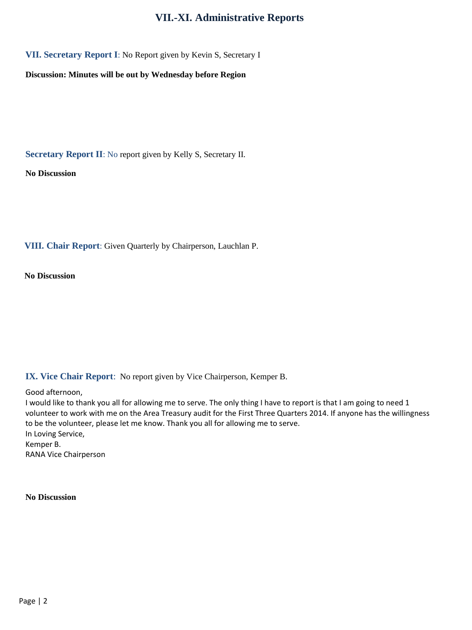## **VII.-XI. Administrative Reports**

**VII. Secretary Report I**: No Report given by Kevin S, Secretary I

**Discussion: Minutes will be out by Wednesday before Region**

**Secretary Report II**: No report given by Kelly S, Secretary II.

**No Discussion**

**VIII. Chair Report**: Given Quarterly by Chairperson, Lauchlan P.

**No Discussion**

### **IX. Vice Chair Report**: No report given by Vice Chairperson, Kemper B.

Good afternoon,

I would like to thank you all for allowing me to serve. The only thing I have to report is that I am going to need 1 volunteer to work with me on the Area Treasury audit for the First Three Quarters 2014. If anyone has the willingness to be the volunteer, please let me know. Thank you all for allowing me to serve. In Loving Service, Kemper B. RANA Vice Chairperson

**No Discussion**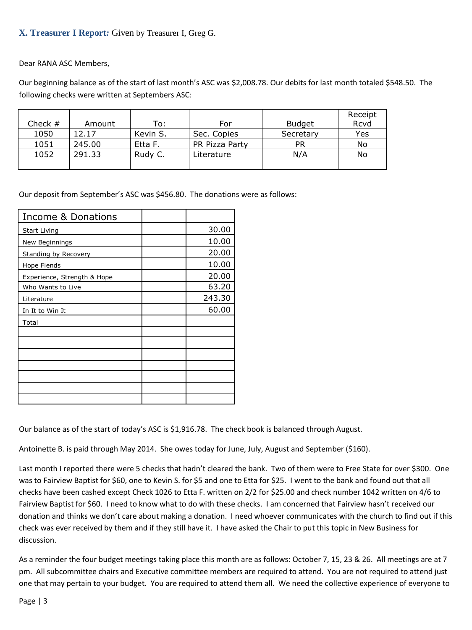### **X. Treasurer I Report***:* Given by Treasurer I, Greg G.

Dear RANA ASC Members,

Our beginning balance as of the start of last month's ASC was \$2,008.78. Our debits for last month totaled \$548.50. The following checks were written at Septembers ASC:

|           |        |          |                |               | Receipt |
|-----------|--------|----------|----------------|---------------|---------|
| Check $#$ | Amount | To:      | For            | <b>Budget</b> | Rcvd    |
| 1050      | 12.17  | Kevin S. | Sec. Copies    | Secretary     | Yes     |
| 1051      | 245.00 | Etta F.  | PR Pizza Party | <b>PR</b>     | No      |
| 1052      | 291.33 | Rudy C.  | Literature     | N/A           | No      |
|           |        |          |                |               |         |

Our deposit from September's ASC was \$456.80. The donations were as follows:

| Income & Donations          |        |
|-----------------------------|--------|
| Start Living                | 30.00  |
| New Beginnings              | 10.00  |
| <b>Standing by Recovery</b> | 20.00  |
| Hope Fiends                 | 10.00  |
| Experience, Strength & Hope | 20.00  |
| Who Wants to Live           | 63.20  |
| Literature                  | 243.30 |
| In It to Win It             | 60.00  |
| Total                       |        |
|                             |        |
|                             |        |
|                             |        |
|                             |        |
|                             |        |
|                             |        |
|                             |        |

Our balance as of the start of today's ASC is \$1,916.78. The check book is balanced through August.

Antoinette B. is paid through May 2014. She owes today for June, July, August and September (\$160).

Last month I reported there were 5 checks that hadn't cleared the bank. Two of them were to Free State for over \$300. One was to Fairview Baptist for \$60, one to Kevin S. for \$5 and one to Etta for \$25. I went to the bank and found out that all checks have been cashed except Check 1026 to Etta F. written on 2/2 for \$25.00 and check number 1042 written on 4/6 to Fairview Baptist for \$60. I need to know what to do with these checks. I am concerned that Fairview hasn't received our donation and thinks we don't care about making a donation. I need whoever communicates with the church to find out if this check was ever received by them and if they still have it. I have asked the Chair to put this topic in New Business for discussion.

As a reminder the four budget meetings taking place this month are as follows: October 7, 15, 23 & 26. All meetings are at 7 pm. All subcommittee chairs and Executive committee members are required to attend. You are not required to attend just one that may pertain to your budget. You are required to attend them all. We need the collective experience of everyone to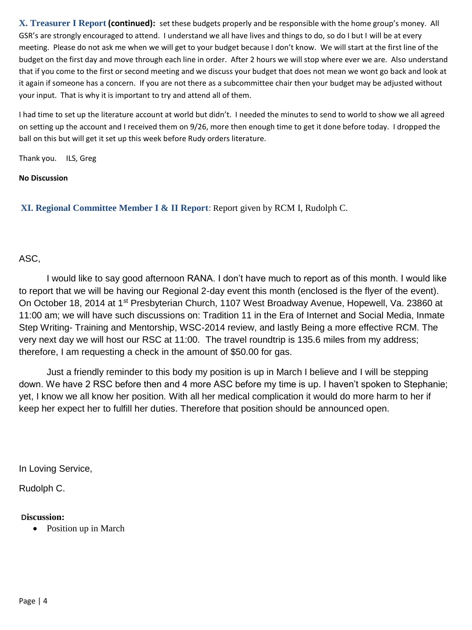**X. Treasurer I Report (continued):** set these budgets properly and be responsible with the home group's money. All GSR's are strongly encouraged to attend. I understand we all have lives and things to do, so do I but I will be at every meeting. Please do not ask me when we will get to your budget because I don't know. We will start at the first line of the budget on the first day and move through each line in order. After 2 hours we will stop where ever we are. Also understand that if you come to the first or second meeting and we discuss your budget that does not mean we wont go back and look at it again if someone has a concern. If you are not there as a subcommittee chair then your budget may be adjusted without your input. That is why it is important to try and attend all of them.

I had time to set up the literature account at world but didn't. I needed the minutes to send to world to show we all agreed on setting up the account and I received them on 9/26, more then enough time to get it done before today. I dropped the ball on this but will get it set up this week before Rudy orders literature.

Thank you. ILS, Greg

#### **No Discussion**

**XI. Regional Committee Member I & II Report**: Report given by RCM I, Rudolph C.

## ASC,

I would like to say good afternoon RANA. I don't have much to report as of this month. I would like to report that we will be having our Regional 2-day event this month (enclosed is the flyer of the event). On October 18, 2014 at 1<sup>st</sup> Presbyterian Church, 1107 West Broadway Avenue, Hopewell, Va. 23860 at 11:00 am; we will have such discussions on: Tradition 11 in the Era of Internet and Social Media, Inmate Step Writing- Training and Mentorship, WSC-2014 review, and lastly Being a more effective RCM. The very next day we will host our RSC at 11:00. The travel roundtrip is 135.6 miles from my address; therefore, I am requesting a check in the amount of \$50.00 for gas.

Just a friendly reminder to this body my position is up in March I believe and I will be stepping down. We have 2 RSC before then and 4 more ASC before my time is up. I haven't spoken to Stephanie; yet, I know we all know her position. With all her medical complication it would do more harm to her if keep her expect her to fulfill her duties. Therefore that position should be announced open.

In Loving Service,

Rudolph C.

#### **Discussion:**

• Position up in March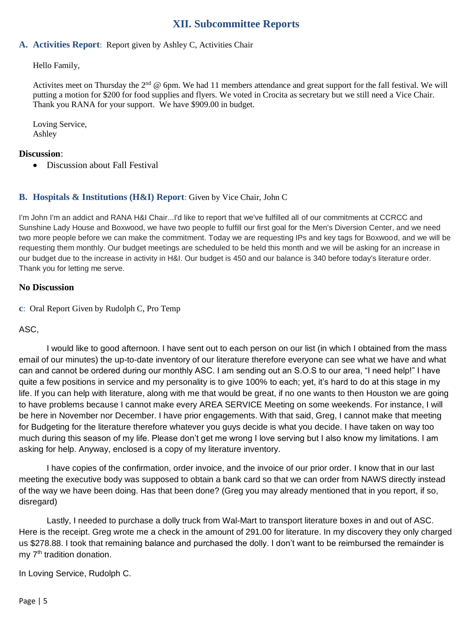## **XII. Subcommittee Reports**

## **A. Activities Report**: Report given by Ashley C, Activities Chair

Hello Family,

Activites meet on Thursday the  $2^{nd}$  @ 6pm. We had 11 members attendance and great support for the fall festival. We will putting a motion for \$200 for food supplies and flyers. We voted in Crocita as secretary but we still need a Vice Chair. Thank you RANA for your support. We have \$909.00 in budget.

Loving Service, Ashley

## **Discussion**:

• Discussion about Fall Festival

## **B. Hospitals & Institutions (H&I) Report**: Given by Vice Chair, John C

I'm John I'm an addict and RANA H&I Chair...I'd like to report that we've fulfilled all of our commitments at CCRCC and Sunshine Lady House and Boxwood, we have two people to fulfill our first goal for the Men's Diversion Center, and we need two more people before we can make the commitment. Today we are requesting IPs and key tags for Boxwood, and we will be requesting them monthly. Our budget meetings are scheduled to be held this month and we will be asking for an increase in our budget due to the increase in activity in H&I. Our budget is 450 and our balance is 340 before today's literature order. Thank you for letting me serve.

#### **No Discussion**

**c**: Oral Report Given by Rudolph C, Pro Temp

ASC,

I would like to good afternoon. I have sent out to each person on our list (in which I obtained from the mass email of our minutes) the up-to-date inventory of our literature therefore everyone can see what we have and what can and cannot be ordered during our monthly ASC. I am sending out an S.O.S to our area, "I need help!" I have quite a few positions in service and my personality is to give 100% to each; yet, it's hard to do at this stage in my life. If you can help with literature, along with me that would be great, if no one wants to then Houston we are going to have problems because I cannot make every AREA SERVICE Meeting on some weekends. For instance, I will be here in November nor December. I have prior engagements. With that said, Greg, I cannot make that meeting for Budgeting for the literature therefore whatever you guys decide is what you decide. I have taken on way too much during this season of my life. Please don't get me wrong I love serving but I also know my limitations. I am asking for help. Anyway, enclosed is a copy of my literature inventory.

I have copies of the confirmation, order invoice, and the invoice of our prior order. I know that in our last meeting the executive body was supposed to obtain a bank card so that we can order from NAWS directly instead of the way we have been doing. Has that been done? (Greg you may already mentioned that in you report, if so, disregard)

Lastly, I needed to purchase a dolly truck from Wal-Mart to transport literature boxes in and out of ASC. Here is the receipt. Greg wrote me a check in the amount of 291.00 for literature. In my discovery they only charged us \$278.88. I took that remaining balance and purchased the dolly. I don't want to be reimbursed the remainder is my 7<sup>th</sup> tradition donation.

In Loving Service, Rudolph C.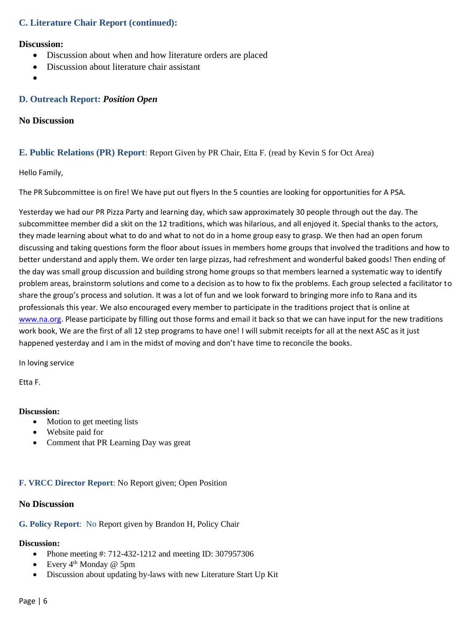### **C. Literature Chair Report (continued):**

#### **Discussion:**

- Discussion about when and how literature orders are placed
- Discussion about literature chair assistant
- $\bullet$

#### **D. Outreach Report:** *Position Open*

#### **No Discussion**

#### **E. Public Relations (PR) Report**: Report Given by PR Chair, Etta F. (read by Kevin S for Oct Area)

#### Hello Family,

The PR Subcommittee is on fire! We have put out flyers In the 5 counties are looking for opportunities for A PSA.

Yesterday we had our PR Pizza Party and learning day, which saw approximately 30 people through out the day. The subcommittee member did a skit on the 12 traditions, which was hilarious, and all enjoyed it. Special thanks to the actors, they made learning about what to do and what to not do in a home group easy to grasp. We then had an open forum discussing and taking questions form the floor about issues in members home groups that involved the traditions and how to better understand and apply them. We order ten large pizzas, had refreshment and wonderful baked goods! Then ending of the day was small group discussion and building strong home groups so that members learned a systematic way to identify problem areas, brainstorm solutions and come to a decision as to how to fix the problems. Each group selected a facilitator to share the group's process and solution. It was a lot of fun and we look forward to bringing more info to Rana and its professionals this year. We also encouraged every member to participate in the traditions project that is online at [www.na.org.](http://www.na.org/) Please participate by filling out those forms and email it back so that we can have input for the new traditions work book, We are the first of all 12 step programs to have one! I will submit receipts for all at the next ASC as it just happened yesterday and I am in the midst of moving and don't have time to reconcile the books.

In loving service

Etta F.

#### **Discussion:**

- Motion to get meeting lists
- Website paid for
- Comment that PR Learning Day was great

#### **F. VRCC Director Report**: No Report given; Open Position

#### **No Discussion**

#### **G. Policy Report**: No Report given by Brandon H, Policy Chair

## **Discussion:**

- Phone meeting #: 712-432-1212 and meeting ID: 307957306
- Every  $4<sup>th</sup>$  Monday @ 5pm
- Discussion about updating by-laws with new Literature Start Up Kit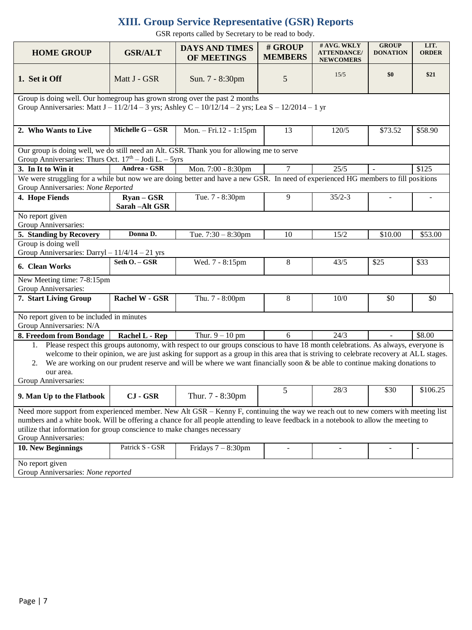# **XIII. Group Service Representative (GSR) Reports**

GSR reports called by Secretary to be read to body.

| <b>HOME GROUP</b>                                                                                                                                                                                                                                                                                                                                                                                                                                  | <b>GSR/ALT</b>                         | <b>DAYS AND TIMES</b>     | # GROUP        | # AVG. WKLY<br><b>ATTENDANCE/</b> | <b>GROUP</b><br><b>DONATION</b> | LIT.<br><b>ORDER</b> |  |
|----------------------------------------------------------------------------------------------------------------------------------------------------------------------------------------------------------------------------------------------------------------------------------------------------------------------------------------------------------------------------------------------------------------------------------------------------|----------------------------------------|---------------------------|----------------|-----------------------------------|---------------------------------|----------------------|--|
|                                                                                                                                                                                                                                                                                                                                                                                                                                                    |                                        | OF MEETINGS               | <b>MEMBERS</b> | <b>NEWCOMERS</b>                  |                                 |                      |  |
| 1. Set it Off                                                                                                                                                                                                                                                                                                                                                                                                                                      | Matt J - GSR                           | Sun. 7 - 8:30pm           | 5              | 15/5                              | \$0                             | \$21                 |  |
| Group is doing well. Our homegroup has grown strong over the past 2 months<br>Group Anniversaries: Matt $J - 11/2/14 - 3$ yrs; Ashley $C - 10/12/14 - 2$ yrs; Lea $S - 12/2014 - 1$ yr                                                                                                                                                                                                                                                             |                                        |                           |                |                                   |                                 |                      |  |
| 2. Who Wants to Live                                                                                                                                                                                                                                                                                                                                                                                                                               | Michelle G - GSR                       | Mon. $-$ Fri. 12 - 1:15pm | 13             | 120/5                             | \$73.52                         | \$58.90              |  |
| Our group is doing well, we do still need an Alt. GSR. Thank you for allowing me to serve<br>Group Anniversaries: Thurs Oct. $17th -$ Jodi L. $-5yrs$                                                                                                                                                                                                                                                                                              |                                        |                           |                |                                   |                                 |                      |  |
| 3. In It to Win it                                                                                                                                                                                                                                                                                                                                                                                                                                 | Andrea - GSR                           | Mon. 7:00 - 8:30pm        | $\tau$         | 25/5                              |                                 | \$125                |  |
| We were struggling for a while but now we are doing better and have a new GSR. In need of experienced HG members to fill positions                                                                                                                                                                                                                                                                                                                 |                                        |                           |                |                                   |                                 |                      |  |
| Group Anniversaries: None Reported                                                                                                                                                                                                                                                                                                                                                                                                                 |                                        |                           |                |                                   |                                 |                      |  |
| 4. Hope Fiends                                                                                                                                                                                                                                                                                                                                                                                                                                     | $\gamma$ Ryan – GSR<br>Sarah - Alt GSR | Tue. 7 - 8:30pm           | 9              | $35/2 - 3$                        |                                 |                      |  |
| No report given<br>Group Anniversaries:                                                                                                                                                                                                                                                                                                                                                                                                            |                                        |                           |                |                                   |                                 |                      |  |
| 5. Standing by Recovery                                                                                                                                                                                                                                                                                                                                                                                                                            | Donna D.                               | Tue. $7:30 - 8:30$ pm     | 10             | 15/2                              | \$10.00                         | \$53.00              |  |
| Group is doing well                                                                                                                                                                                                                                                                                                                                                                                                                                |                                        |                           |                |                                   |                                 |                      |  |
| Group Anniversaries: Darryl - 11/4/14 - 21 yrs                                                                                                                                                                                                                                                                                                                                                                                                     |                                        |                           |                |                                   |                                 |                      |  |
| 6. Clean Works                                                                                                                                                                                                                                                                                                                                                                                                                                     | Seth O. - GSR                          | Wed. 7 - 8:15pm           | 8              | 43/5                              | \$25                            | \$33                 |  |
| New Meeting time: 7-8:15pm<br>Group Anniversaries:                                                                                                                                                                                                                                                                                                                                                                                                 |                                        |                           |                |                                   |                                 |                      |  |
| 7. Start Living Group                                                                                                                                                                                                                                                                                                                                                                                                                              | <b>Rachel W - GSR</b>                  | Thu. 7 - 8:00pm           | 8              | 10/0                              | \$0                             | \$0                  |  |
| No report given to be included in minutes<br>Group Anniversaries: N/A                                                                                                                                                                                                                                                                                                                                                                              |                                        |                           |                |                                   |                                 |                      |  |
| 8. Freedom from Bondage                                                                                                                                                                                                                                                                                                                                                                                                                            | Rachel L - Rep                         | Thur. $9 - 10$ pm         | 6              | 24/3                              | $\mathbf{r}$                    | \$8.00               |  |
| 1. Please respect this groups autonomy, with respect to our groups conscious to have 18 month celebrations. As always, everyone is<br>welcome to their opinion, we are just asking for support as a group in this area that is striving to celebrate recovery at ALL stages.<br>2. We are working on our prudent reserve and will be where we want financially soon & be able to continue making donations to<br>our area.<br>Group Anniversaries: |                                        |                           |                |                                   |                                 |                      |  |
| 9. Man Up to the Flatbook                                                                                                                                                                                                                                                                                                                                                                                                                          | <b>CJ</b> - GSR                        | Thur. 7 - 8:30pm          | 5              | 28/3                              | \$30                            | \$106.25             |  |
| Need more support from experienced member. New Alt GSR – Kenny F, continuing the way we reach out to new comers with meeting list<br>numbers and a white book. Will be offering a chance for all people attending to leave feedback in a notebook to allow the meeting to<br>utilize that information for group conscience to make changes necessary<br>Group Anniversaries:                                                                       |                                        |                           |                |                                   |                                 |                      |  |
| 10. New Beginnings                                                                                                                                                                                                                                                                                                                                                                                                                                 | Patrick S - GSR                        | Fridays $7 - 8:30$ pm     |                |                                   |                                 |                      |  |
| No report given<br>Group Anniversaries: None reported                                                                                                                                                                                                                                                                                                                                                                                              |                                        |                           |                |                                   |                                 |                      |  |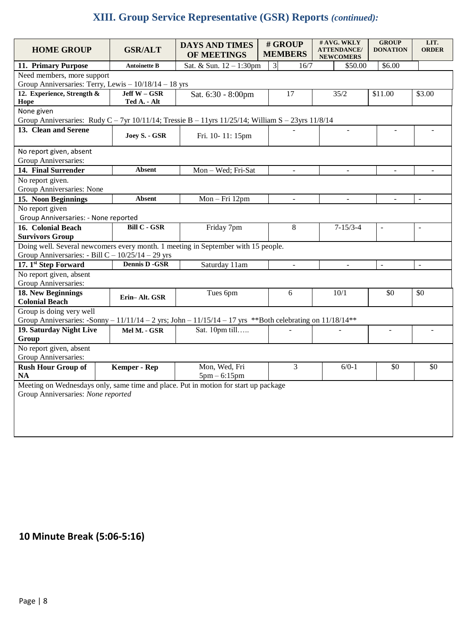# **XIII. Group Service Representative (GSR) Reports** *(continued):*

| <b>HOME GROUP</b>                                                                                                | <b>GSR/ALT</b>                              | <b>DAYS AND TIMES</b><br>OF MEETINGS | # GROUP<br><b>MEMBERS</b> | # AVG. WKLY<br><b>ATTENDANCE/</b><br><b>NEWCOMERS</b> | <b>GROUP</b><br><b>DONATION</b> | LIT.<br><b>ORDER</b>     |  |
|------------------------------------------------------------------------------------------------------------------|---------------------------------------------|--------------------------------------|---------------------------|-------------------------------------------------------|---------------------------------|--------------------------|--|
| 11. Primary Purpose                                                                                              | <b>Antoinette B</b>                         | Sat. & Sun. 12 - 1:30pm              | $\overline{3}$<br>16/7    | \$50.00                                               | \$6.00                          |                          |  |
| Need members, more support                                                                                       |                                             |                                      |                           |                                                       |                                 |                          |  |
| Group Anniversaries: Terry, Lewis - 10/18/14 - 18 yrs                                                            |                                             |                                      |                           |                                                       |                                 |                          |  |
| 12. Experience, Strength &                                                                                       | $Jeff W - GSR$                              | Sat. 6:30 - 8:00pm                   | 17                        | 35/2                                                  | \$11.00                         | \$3.00                   |  |
| Hope                                                                                                             | Ted A. - Alt                                |                                      |                           |                                                       |                                 |                          |  |
| None given                                                                                                       |                                             |                                      |                           |                                                       |                                 |                          |  |
| Group Anniversaries: Rudy C - 7yr 10/11/14; Tressie B - 11yrs 11/25/14; William S - 23yrs 11/8/14                |                                             |                                      |                           |                                                       |                                 |                          |  |
| 13. Clean and Serene                                                                                             | Joey S. - GSR                               | Fri. 10-11: 15pm                     |                           | $\overline{a}$                                        | $\sim$                          | $\overline{a}$           |  |
| No report given, absent                                                                                          |                                             |                                      |                           |                                                       |                                 |                          |  |
| Group Anniversaries:                                                                                             |                                             |                                      |                           |                                                       |                                 |                          |  |
| 14. Final Surrender                                                                                              | <b>Absent</b>                               | Mon - Wed; Fri-Sat                   | $\overline{\phantom{a}}$  | $\overline{a}$                                        | $\sim$                          | $\sim$                   |  |
| No report given.                                                                                                 |                                             |                                      |                           |                                                       |                                 |                          |  |
| Group Anniversaries: None                                                                                        |                                             |                                      |                           |                                                       |                                 |                          |  |
| 15. Noon Beginnings                                                                                              | Absent                                      | Mon-Fri 12pm                         | $\blacksquare$            | $\equiv$                                              | $\Box$                          | $\blacksquare$           |  |
| No report given                                                                                                  |                                             |                                      |                           |                                                       |                                 |                          |  |
| Group Anniversaries: - None reported                                                                             |                                             |                                      |                           |                                                       |                                 |                          |  |
| 16. Colonial Beach                                                                                               | <b>Bill <math>\overline{C}</math> - GSR</b> | Friday 7pm                           | 8                         | $7 - 15/3 - 4$                                        | $\overline{a}$                  | $\overline{\phantom{a}}$ |  |
| <b>Survivors Group</b>                                                                                           |                                             |                                      |                           |                                                       |                                 |                          |  |
| Doing well. Several newcomers every month. 1 meeting in September with 15 people.                                |                                             |                                      |                           |                                                       |                                 |                          |  |
| Group Anniversaries: $-$ Bill C $-$ 10/25/14 $-$ 29 yrs                                                          |                                             |                                      |                           |                                                       |                                 |                          |  |
| 17. 1st Step Forward                                                                                             | <b>Dennis D -GSR</b>                        | Saturday 11am                        | $\overline{\phantom{a}}$  | $\overline{\phantom{a}}$                              | ÷,                              | $\blacksquare$           |  |
| No report given, absent                                                                                          |                                             |                                      |                           |                                                       |                                 |                          |  |
| Group Anniversaries:                                                                                             |                                             |                                      |                           |                                                       |                                 |                          |  |
| 18. New Beginnings                                                                                               | Erin-Alt. GSR                               | Tues 6pm                             | 6                         | 10/1                                                  | \$0                             | \$0                      |  |
| <b>Colonial Beach</b>                                                                                            |                                             |                                      |                           |                                                       |                                 |                          |  |
| Group is doing very well                                                                                         |                                             |                                      |                           |                                                       |                                 |                          |  |
| Group Anniversaries: -Sonny - $11/11/14 - 2$ yrs; John - $11/15/14 - 17$ yrs **Both celebrating on $11/18/14$ ** |                                             |                                      |                           |                                                       |                                 |                          |  |
| 19. Saturday Night Live                                                                                          | Mel M. - GSR                                | Sat. 10pm till                       |                           |                                                       | $\equiv$                        | $\overline{\phantom{a}}$ |  |
| Group                                                                                                            |                                             |                                      |                           |                                                       |                                 |                          |  |
| No report given, absent                                                                                          |                                             |                                      |                           |                                                       |                                 |                          |  |
| Group Anniversaries:                                                                                             |                                             |                                      |                           |                                                       |                                 |                          |  |
| <b>Rush Hour Group of</b>                                                                                        | Kemper - Rep                                | Mon, Wed, Fri                        | 3                         | $6/0-1$                                               | \$0                             | $\$0$                    |  |
| <b>NA</b>                                                                                                        |                                             | $5pm - 6:15pm$                       |                           |                                                       |                                 |                          |  |
| Meeting on Wednesdays only, same time and place. Put in motion for start up package                              |                                             |                                      |                           |                                                       |                                 |                          |  |
| Group Anniversaries: None reported                                                                               |                                             |                                      |                           |                                                       |                                 |                          |  |
|                                                                                                                  |                                             |                                      |                           |                                                       |                                 |                          |  |
|                                                                                                                  |                                             |                                      |                           |                                                       |                                 |                          |  |
|                                                                                                                  |                                             |                                      |                           |                                                       |                                 |                          |  |
|                                                                                                                  |                                             |                                      |                           |                                                       |                                 |                          |  |

# **10 Minute Break (5:06-5:16)**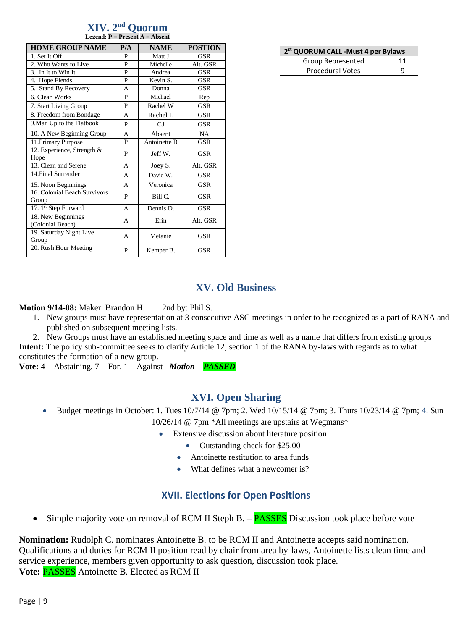|  | XIV. 2 <sup>nd</sup> Quorum                        |
|--|----------------------------------------------------|
|  | <b>Legend: <math>P =</math> Present A = Absent</b> |

| <b>HOME GROUP NAME</b>                 | P/A | <b>NAME</b>  | <b>POSTION</b> |
|----------------------------------------|-----|--------------|----------------|
| 1. Set It Off                          | P   | Matt J       | <b>GSR</b>     |
| 2. Who Wants to Live                   | P   | Michelle     | Alt. GSR       |
| 3. In It to Win It                     | P   | Andrea       | GSR            |
| 4. Hope Fiends                         | P   | Kevin S.     | <b>GSR</b>     |
| 5. Stand By Recovery                   | A   | Donna        | <b>GSR</b>     |
| 6. Clean Works                         | P   | Michael      | Rep            |
| 7. Start Living Group                  | P   | Rachel W     | <b>GSR</b>     |
| 8. Freedom from Bondage                | A   | Rachel L     | <b>GSR</b>     |
| 9. Man Up to the Flatbook              | P   | CJ           | <b>GSR</b>     |
| 10. A New Beginning Group              | A   | Absent       | NA             |
| 11. Primary Purpose                    | P   | Antoinette B | <b>GSR</b>     |
| 12. Experience, Strength &<br>Hope     | P   | Jeff W.      | GSR            |
| 13. Clean and Serene                   | A   | Joey S.      | Alt. GSR       |
| 14. Final Surrender                    | A   | David W.     | <b>GSR</b>     |
| 15. Noon Beginnings                    | A   | Veronica     | <b>GSR</b>     |
| 16. Colonial Beach Survivors<br>Group  | P   | Bill C.      | <b>GSR</b>     |
| 17. 1st Step Forward                   | A   | Dennis D.    | <b>GSR</b>     |
| 18. New Beginnings<br>(Colonial Beach) | A   | Erin         | Alt. GSR       |
| 19. Saturday Night Live<br>Group       | A   | Melanie      | GSR            |
| 20. Rush Hour Meeting                  | P   | Kemper B.    | GSR            |

| 2 <sup>st</sup> QUORUM CALL -Must 4 per Bylaws |  |  |  |  |
|------------------------------------------------|--|--|--|--|
| Group Represented                              |  |  |  |  |
| <b>Procedural Votes</b>                        |  |  |  |  |

## **XV. Old Business**

**Motion 9/14-08:** Maker: Brandon H. 2nd by: Phil S.

- 1. New groups must have representation at 3 consecutive ASC meetings in order to be recognized as a part of RANA and published on subsequent meeting lists.
- 2. New Groups must have an established meeting space and time as well as a name that differs from existing groups **Intent:** The policy sub-committee seeks to clarify Article 12, section 1 of the RANA by-laws with regards as to what constitutes the formation of a new group.

**Vote:** 4 – Abstaining, 7 – For, 1 – Against *Motion – PASSED*

## **XVI. Open Sharing**

- Budget meetings in October: 1. Tues  $10/7/14$  @ 7pm; 2. Wed  $10/15/14$  @ 7pm; 3. Thurs  $10/23/14$  @ 7pm; 4. Sun 10/26/14 @ 7pm \*All meetings are upstairs at Wegmans\*
	- Extensive discussion about literature position
		- Outstanding check for \$25.00
		- Antoinette restitution to area funds
		- What defines what a newcomer is?

## **XVII. Elections for Open Positions**

Simple majority vote on removal of RCM II Steph B.  $-$  **PASSES** Discussion took place before vote

**Nomination:** Rudolph C. nominates Antoinette B. to be RCM II and Antoinette accepts said nomination. Qualifications and duties for RCM II position read by chair from area by-laws, Antoinette lists clean time and service experience, members given opportunity to ask question, discussion took place. **Vote:** PASSES Antoinette B. Elected as RCM II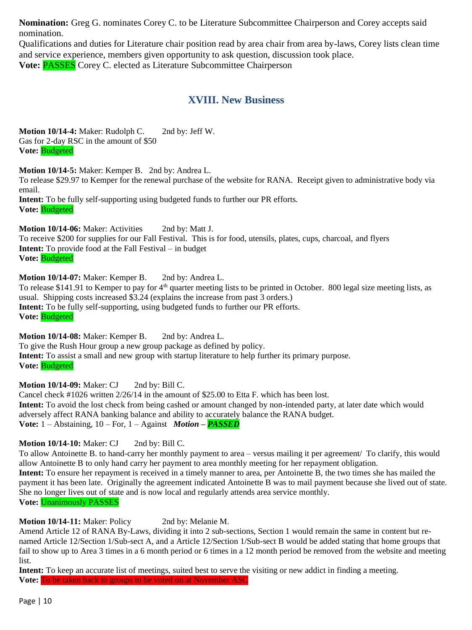**Nomination:** Greg G. nominates Corey C. to be Literature Subcommittee Chairperson and Corey accepts said nomination.

Qualifications and duties for Literature chair position read by area chair from area by-laws, Corey lists clean time and service experience, members given opportunity to ask question, discussion took place. **Vote:** PASSES Corey C. elected as Literature Subcommittee Chairperson

## **XVIII. New Business**

**Motion 10/14-4:** Maker: Rudolph C. 2nd by: Jeff W. Gas for 2-day RSC in the amount of \$50 **Vote:** Budgeted

**Motion 10/14-5:** Maker: Kemper B. 2nd by: Andrea L.

To release \$29.97 to Kemper for the renewal purchase of the website for RANA. Receipt given to administrative body via email.

**Intent:** To be fully self-supporting using budgeted funds to further our PR efforts. **Vote:** Budgeted

**Motion 10/14-06:** Maker: Activities 2nd by: Matt J.

To receive \$200 for supplies for our Fall Festival. This is for food, utensils, plates, cups, charcoal, and flyers **Intent:** To provide food at the Fall Festival – in budget **Vote:** Budgeted

**Motion 10/14-07:** Maker: Kemper B. 2nd by: Andrea L.

To release \$141.91 to Kemper to pay for  $4<sup>th</sup>$  quarter meeting lists to be printed in October. 800 legal size meeting lists, as usual. Shipping costs increased \$3.24 (explains the increase from past 3 orders.) **Intent:** To be fully self-supporting, using budgeted funds to further our PR efforts. **Vote:** Budgeted

**Motion 10/14-08:** Maker: Kemper B. 2nd by: Andrea L. To give the Rush Hour group a new group package as defined by policy. **Intent:** To assist a small and new group with startup literature to help further its primary purpose. **Vote:** Budgeted

**Motion 10/14-09:** Maker: CJ 2nd by: Bill C.

Cancel check #1026 written 2/26/14 in the amount of \$25.00 to Etta F. which has been lost. **Intent:** To avoid the lost check from being cashed or amount changed by non-intended party, at later date which would adversely affect RANA banking balance and ability to accurately balance the RANA budget. **Vote:** 1 – Abstaining, 10 – For, 1 – Against *Motion – PASSED*

**Motion 10/14-10:** Maker: CJ 2nd by: Bill C.

To allow Antoinette B. to hand-carry her monthly payment to area – versus mailing it per agreement/ To clarify, this would allow Antoinette B to only hand carry her payment to area monthly meeting for her repayment obligation. **Intent:** To ensure her repayment is received in a timely manner to area, per Antoinette B, the two times she has mailed the payment it has been late. Originally the agreement indicated Antoinette B was to mail payment because she lived out of state. She no longer lives out of state and is now local and regularly attends area service monthly. **Vote:** Unanimously PASSES

**Motion 10/14-11:** Maker: Policy 2nd by: Melanie M.

Amend Article 12 of RANA By-Laws, dividing it into 2 sub-sections, Section 1 would remain the same in content but renamed Article 12/Section 1/Sub-sect A, and a Article 12/Section 1/Sub-sect B would be added stating that home groups that fail to show up to Area 3 times in a 6 month period or 6 times in a 12 month period be removed from the website and meeting list.

**Intent:** To keep an accurate list of meetings, suited best to serve the visiting or new addict in finding a meeting. **Vote:** To be taken back to groups to be voted on at November ASC